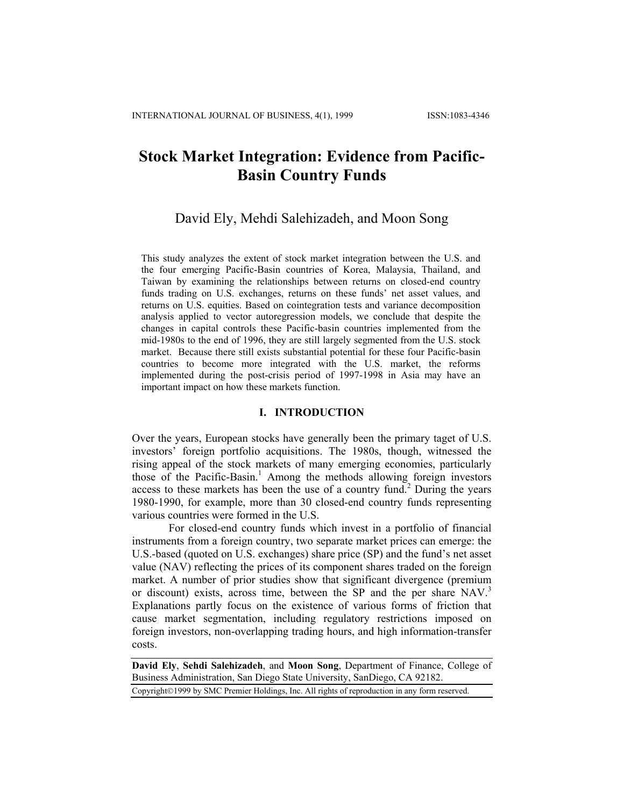# **Stock Market Integration: Evidence from Pacific-Basin Country Funds**

### David Ely, Mehdi Salehizadeh, and Moon Song

This study analyzes the extent of stock market integration between the U.S. and the four emerging Pacific-Basin countries of Korea, Malaysia, Thailand, and Taiwan by examining the relationships between returns on closed-end country funds trading on U.S. exchanges, returns on these funds' net asset values, and returns on U.S. equities. Based on cointegration tests and variance decomposition analysis applied to vector autoregression models, we conclude that despite the changes in capital controls these Pacific-basin countries implemented from the mid-1980s to the end of 1996, they are still largely segmented from the U.S. stock market. Because there still exists substantial potential for these four Pacific-basin countries to become more integrated with the U.S. market, the reforms implemented during the post-crisis period of 1997-1998 in Asia may have an important impact on how these markets function.

#### **I. INTRODUCTION**

Over the years, European stocks have generally been the primary taget of U.S. investors' foreign portfolio acquisitions. The 1980s, though, witnessed the rising appeal of the stock markets of many emerging economies, particularly those of the Pacific-Basin.<sup>1</sup> Among the methods allowing foreign investors access to these markets has been the use of a country fund.<sup>2</sup> During the years 1980-1990, for example, more than 30 closed-end country funds representing various countries were formed in the U.S.

For closed-end country funds which invest in a portfolio of financial instruments from a foreign country, two separate market prices can emerge: the U.S.-based (quoted on U.S. exchanges) share price (SP) and the fund's net asset value (NAV) reflecting the prices of its component shares traded on the foreign market. A number of prior studies show that significant divergence (premium or discount) exists, across time, between the SP and the per share NAV.<sup>3</sup> Explanations partly focus on the existence of various forms of friction that cause market segmentation, including regulatory restrictions imposed on foreign investors, non-overlapping trading hours, and high information-transfer costs.

**David Ely**, **Sehdi Salehizadeh**, and **Moon Song**, Department of Finance, College of Business Administration, San Diego State University, SanDiego, CA 92182.

Copyright©1999 by SMC Premier Holdings, Inc. All rights of reproduction in any form reserved.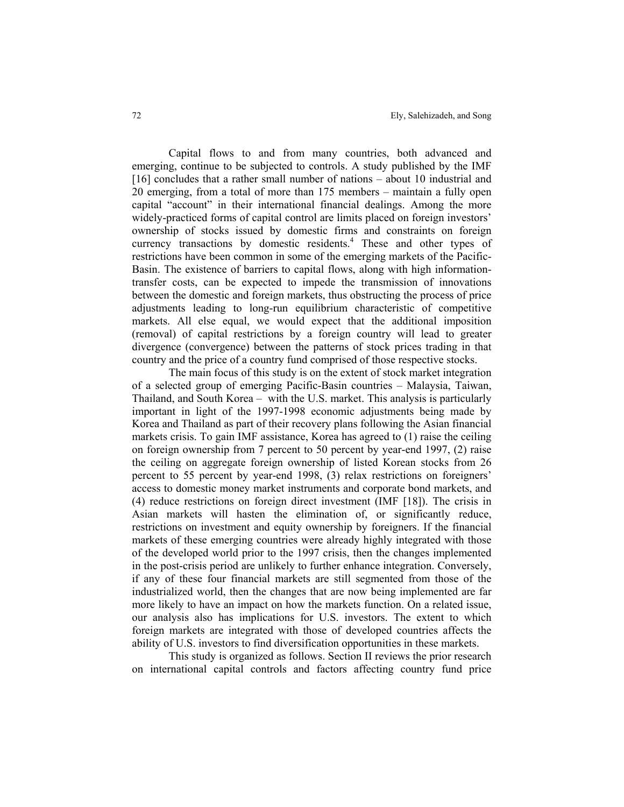Capital flows to and from many countries, both advanced and emerging, continue to be subjected to controls. A study published by the IMF [16] concludes that a rather small number of nations – about 10 industrial and 20 emerging, from a total of more than 175 members – maintain a fully open capital "account" in their international financial dealings. Among the more widely-practiced forms of capital control are limits placed on foreign investors' ownership of stocks issued by domestic firms and constraints on foreign currency transactions by domestic residents.<sup>4</sup> These and other types of restrictions have been common in some of the emerging markets of the Pacific-Basin. The existence of barriers to capital flows, along with high informationtransfer costs, can be expected to impede the transmission of innovations between the domestic and foreign markets, thus obstructing the process of price adjustments leading to long-run equilibrium characteristic of competitive markets. All else equal, we would expect that the additional imposition (removal) of capital restrictions by a foreign country will lead to greater divergence (convergence) between the patterns of stock prices trading in that country and the price of a country fund comprised of those respective stocks.

The main focus of this study is on the extent of stock market integration of a selected group of emerging Pacific-Basin countries – Malaysia, Taiwan, Thailand, and South Korea – with the U.S. market. This analysis is particularly important in light of the 1997-1998 economic adjustments being made by Korea and Thailand as part of their recovery plans following the Asian financial markets crisis. To gain IMF assistance, Korea has agreed to (1) raise the ceiling on foreign ownership from 7 percent to 50 percent by year-end 1997, (2) raise the ceiling on aggregate foreign ownership of listed Korean stocks from 26 percent to 55 percent by year-end 1998, (3) relax restrictions on foreigners' access to domestic money market instruments and corporate bond markets, and (4) reduce restrictions on foreign direct investment (IMF [18]). The crisis in Asian markets will hasten the elimination of, or significantly reduce, restrictions on investment and equity ownership by foreigners. If the financial markets of these emerging countries were already highly integrated with those of the developed world prior to the 1997 crisis, then the changes implemented in the post-crisis period are unlikely to further enhance integration. Conversely, if any of these four financial markets are still segmented from those of the industrialized world, then the changes that are now being implemented are far more likely to have an impact on how the markets function. On a related issue, our analysis also has implications for U.S. investors. The extent to which foreign markets are integrated with those of developed countries affects the ability of U.S. investors to find diversification opportunities in these markets.

This study is organized as follows. Section II reviews the prior research on international capital controls and factors affecting country fund price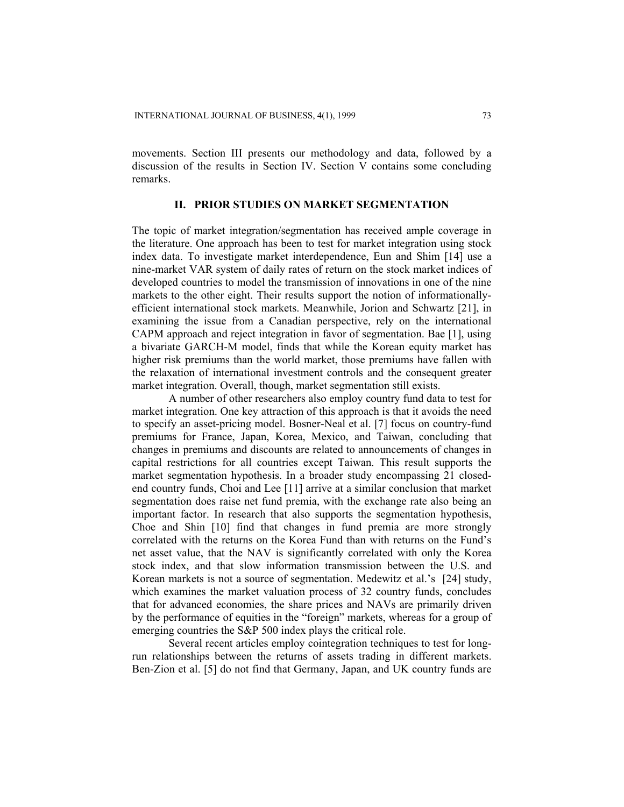movements. Section III presents our methodology and data, followed by a discussion of the results in Section IV. Section V contains some concluding remarks.

#### **II. PRIOR STUDIES ON MARKET SEGMENTATION**

The topic of market integration/segmentation has received ample coverage in the literature. One approach has been to test for market integration using stock index data. To investigate market interdependence, Eun and Shim [14] use a nine-market VAR system of daily rates of return on the stock market indices of developed countries to model the transmission of innovations in one of the nine markets to the other eight. Their results support the notion of informationallyefficient international stock markets. Meanwhile, Jorion and Schwartz [21], in examining the issue from a Canadian perspective, rely on the international CAPM approach and reject integration in favor of segmentation. Bae [1], using a bivariate GARCH-M model, finds that while the Korean equity market has higher risk premiums than the world market, those premiums have fallen with the relaxation of international investment controls and the consequent greater market integration. Overall, though, market segmentation still exists.

A number of other researchers also employ country fund data to test for market integration. One key attraction of this approach is that it avoids the need to specify an asset-pricing model. Bosner-Neal et al. [7] focus on country-fund premiums for France, Japan, Korea, Mexico, and Taiwan, concluding that changes in premiums and discounts are related to announcements of changes in capital restrictions for all countries except Taiwan. This result supports the market segmentation hypothesis. In a broader study encompassing 21 closedend country funds, Choi and Lee [11] arrive at a similar conclusion that market segmentation does raise net fund premia, with the exchange rate also being an important factor. In research that also supports the segmentation hypothesis, Choe and Shin [10] find that changes in fund premia are more strongly correlated with the returns on the Korea Fund than with returns on the Fund's net asset value, that the NAV is significantly correlated with only the Korea stock index, and that slow information transmission between the U.S. and Korean markets is not a source of segmentation. Medewitz et al.'s [24] study, which examines the market valuation process of 32 country funds, concludes that for advanced economies, the share prices and NAVs are primarily driven by the performance of equities in the "foreign" markets, whereas for a group of emerging countries the S&P 500 index plays the critical role.

Several recent articles employ cointegration techniques to test for longrun relationships between the returns of assets trading in different markets. Ben-Zion et al. [5] do not find that Germany, Japan, and UK country funds are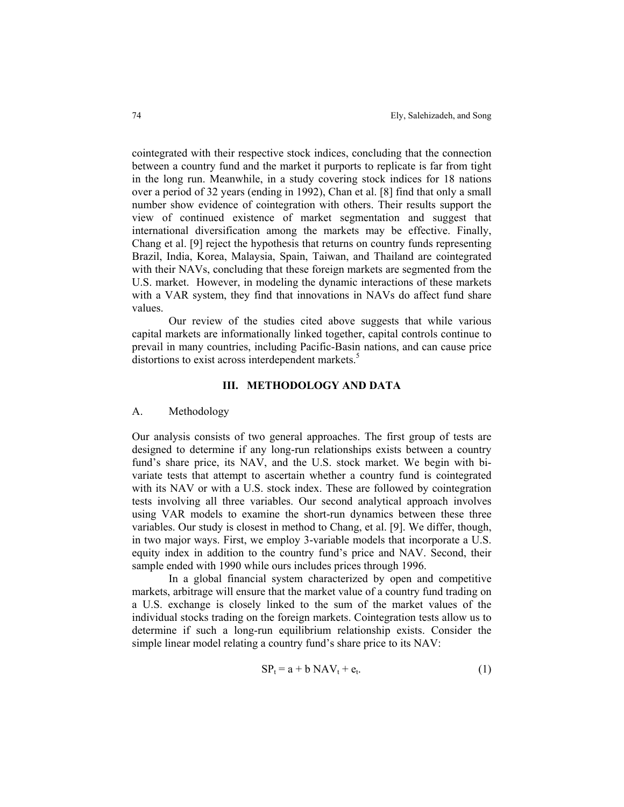cointegrated with their respective stock indices, concluding that the connection between a country fund and the market it purports to replicate is far from tight in the long run. Meanwhile, in a study covering stock indices for 18 nations over a period of 32 years (ending in 1992), Chan et al. [8] find that only a small number show evidence of cointegration with others. Their results support the view of continued existence of market segmentation and suggest that international diversification among the markets may be effective. Finally, Chang et al. [9] reject the hypothesis that returns on country funds representing Brazil, India, Korea, Malaysia, Spain, Taiwan, and Thailand are cointegrated with their NAVs, concluding that these foreign markets are segmented from the U.S. market. However, in modeling the dynamic interactions of these markets with a VAR system, they find that innovations in NAVs do affect fund share values.

Our review of the studies cited above suggests that while various capital markets are informationally linked together, capital controls continue to prevail in many countries, including Pacific-Basin nations, and can cause price distortions to exist across interdependent markets.<sup>5</sup>

#### **III. METHODOLOGY AND DATA**

#### A. Methodology

Our analysis consists of two general approaches. The first group of tests are designed to determine if any long-run relationships exists between a country fund's share price, its NAV, and the U.S. stock market. We begin with bivariate tests that attempt to ascertain whether a country fund is cointegrated with its NAV or with a U.S. stock index. These are followed by cointegration tests involving all three variables. Our second analytical approach involves using VAR models to examine the short-run dynamics between these three variables. Our study is closest in method to Chang, et al. [9]. We differ, though, in two major ways. First, we employ 3-variable models that incorporate a U.S. equity index in addition to the country fund's price and NAV. Second, their sample ended with 1990 while ours includes prices through 1996.

In a global financial system characterized by open and competitive markets, arbitrage will ensure that the market value of a country fund trading on a U.S. exchange is closely linked to the sum of the market values of the individual stocks trading on the foreign markets. Cointegration tests allow us to determine if such a long-run equilibrium relationship exists. Consider the simple linear model relating a country fund's share price to its NAV:

$$
SP_{t} = a + b NAV_{t} + e_{t}.
$$
 (1)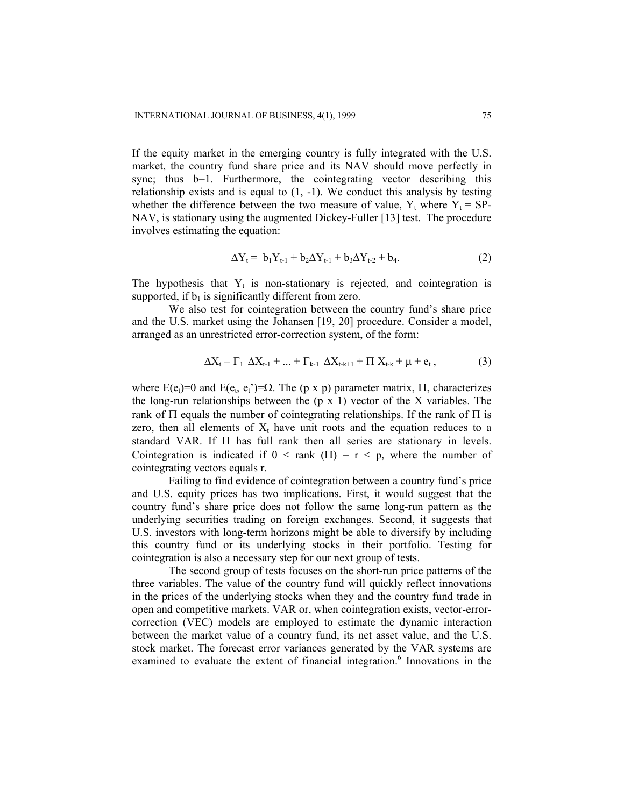If the equity market in the emerging country is fully integrated with the U.S. market, the country fund share price and its NAV should move perfectly in sync; thus b=1. Furthermore, the cointegrating vector describing this relationship exists and is equal to  $(1, -1)$ . We conduct this analysis by testing whether the difference between the two measure of value,  $Y_t$  where  $Y_t = SP$ -NAV, is stationary using the augmented Dickey-Fuller [13] test. The procedure involves estimating the equation:

$$
\Delta Y_t = b_1 Y_{t-1} + b_2 \Delta Y_{t-1} + b_3 \Delta Y_{t-2} + b_4. \tag{2}
$$

The hypothesis that  $Y_t$  is non-stationary is rejected, and cointegration is supported, if  $b_1$  is significantly different from zero.

We also test for cointegration between the country fund's share price and the U.S. market using the Johansen [19, 20] procedure. Consider a model, arranged as an unrestricted error-correction system, of the form:

$$
\Delta X_t = \Gamma_1 \, \Delta X_{t-1} + ... + \Gamma_{k-1} \, \Delta X_{t-k+1} + \Pi \, X_{t-k} + \mu + e_t \,, \tag{3}
$$

where  $E(e_t)=0$  and  $E(e_t, e_t)=\Omega$ . The (p x p) parameter matrix,  $\Pi$ , characterizes the long-run relationships between the  $(p \times 1)$  vector of the X variables. The rank of  $\Pi$  equals the number of cointegrating relationships. If the rank of  $\Pi$  is zero, then all elements of  $X_t$  have unit roots and the equation reduces to a standard VAR. If Π has full rank then all series are stationary in levels. Cointegration is indicated if  $0 \leq$  rank  $(\Pi) = r \leq p$ , where the number of cointegrating vectors equals r.

Failing to find evidence of cointegration between a country fund's price and U.S. equity prices has two implications. First, it would suggest that the country fund's share price does not follow the same long-run pattern as the underlying securities trading on foreign exchanges. Second, it suggests that U.S. investors with long-term horizons might be able to diversify by including this country fund or its underlying stocks in their portfolio. Testing for cointegration is also a necessary step for our next group of tests.

The second group of tests focuses on the short-run price patterns of the three variables. The value of the country fund will quickly reflect innovations in the prices of the underlying stocks when they and the country fund trade in open and competitive markets. VAR or, when cointegration exists, vector-errorcorrection (VEC) models are employed to estimate the dynamic interaction between the market value of a country fund, its net asset value, and the U.S. stock market. The forecast error variances generated by the VAR systems are examined to evaluate the extent of financial integration.<sup>6</sup> Innovations in the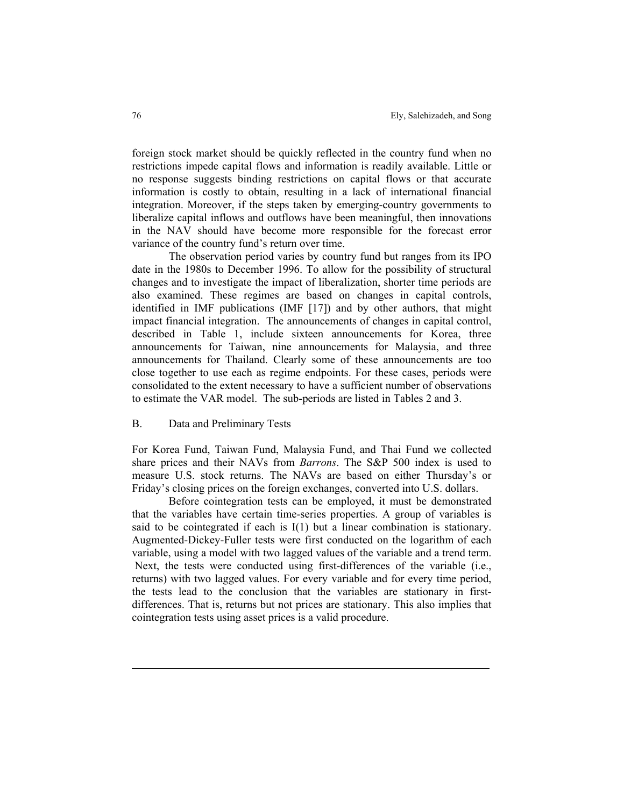foreign stock market should be quickly reflected in the country fund when no restrictions impede capital flows and information is readily available. Little or no response suggests binding restrictions on capital flows or that accurate information is costly to obtain, resulting in a lack of international financial integration. Moreover, if the steps taken by emerging-country governments to liberalize capital inflows and outflows have been meaningful, then innovations in the NAV should have become more responsible for the forecast error variance of the country fund's return over time.

The observation period varies by country fund but ranges from its IPO date in the 1980s to December 1996. To allow for the possibility of structural changes and to investigate the impact of liberalization, shorter time periods are also examined. These regimes are based on changes in capital controls, identified in IMF publications (IMF [17]) and by other authors, that might impact financial integration. The announcements of changes in capital control, described in Table 1, include sixteen announcements for Korea, three announcements for Taiwan, nine announcements for Malaysia, and three announcements for Thailand. Clearly some of these announcements are too close together to use each as regime endpoints. For these cases, periods were consolidated to the extent necessary to have a sufficient number of observations to estimate the VAR model. The sub-periods are listed in Tables 2 and 3.

#### B. Data and Preliminary Tests

For Korea Fund, Taiwan Fund, Malaysia Fund, and Thai Fund we collected share prices and their NAVs from *Barrons*. The S&P 500 index is used to measure U.S. stock returns. The NAVs are based on either Thursday's or Friday's closing prices on the foreign exchanges, converted into U.S. dollars.

Before cointegration tests can be employed, it must be demonstrated that the variables have certain time-series properties. A group of variables is said to be cointegrated if each is I(1) but a linear combination is stationary. Augmented-Dickey-Fuller tests were first conducted on the logarithm of each variable, using a model with two lagged values of the variable and a trend term. Next, the tests were conducted using first-differences of the variable (i.e., returns) with two lagged values. For every variable and for every time period, the tests lead to the conclusion that the variables are stationary in firstdifferences. That is, returns but not prices are stationary. This also implies that cointegration tests using asset prices is a valid procedure.

l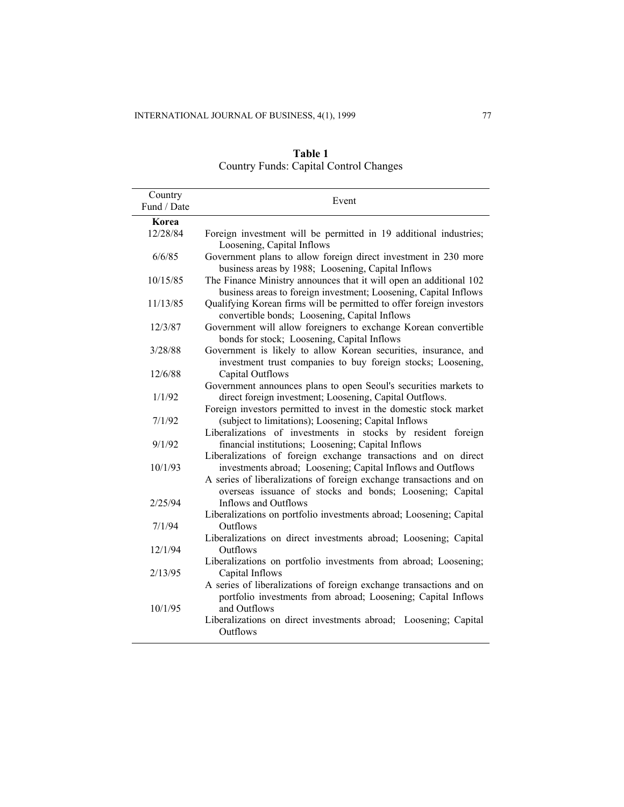| Country<br>Fund / Date | Event                                                                                                                                                                                           |  |  |
|------------------------|-------------------------------------------------------------------------------------------------------------------------------------------------------------------------------------------------|--|--|
| Korea                  |                                                                                                                                                                                                 |  |  |
| 12/28/84               | Foreign investment will be permitted in 19 additional industries;<br>Loosening, Capital Inflows                                                                                                 |  |  |
| 6/6/85                 | Government plans to allow foreign direct investment in 230 more<br>business areas by 1988; Loosening, Capital Inflows                                                                           |  |  |
| 10/15/85               | The Finance Ministry announces that it will open an additional 102<br>business areas to foreign investment; Loosening, Capital Inflows                                                          |  |  |
| 11/13/85               | Qualifying Korean firms will be permitted to offer foreign investors<br>convertible bonds; Loosening, Capital Inflows                                                                           |  |  |
| 12/3/87                | Government will allow foreigners to exchange Korean convertible<br>bonds for stock; Loosening, Capital Inflows                                                                                  |  |  |
| 3/28/88                | Government is likely to allow Korean securities, insurance, and<br>investment trust companies to buy foreign stocks; Loosening,                                                                 |  |  |
| 12/6/88                | Capital Outflows<br>Government announces plans to open Seoul's securities markets to                                                                                                            |  |  |
| 1/1/92                 | direct foreign investment; Loosening, Capital Outflows.<br>Foreign investors permitted to invest in the domestic stock market                                                                   |  |  |
| 7/1/92                 | (subject to limitations); Loosening; Capital Inflows<br>Liberalizations of investments in stocks by resident foreign                                                                            |  |  |
| 9/1/92                 | financial institutions; Loosening; Capital Inflows<br>Liberalizations of foreign exchange transactions and on direct                                                                            |  |  |
| 10/1/93                | investments abroad; Loosening; Capital Inflows and Outflows<br>A series of liberalizations of foreign exchange transactions and on<br>overseas issuance of stocks and bonds; Loosening; Capital |  |  |
| 2/25/94                | <b>Inflows and Outflows</b><br>Liberalizations on portfolio investments abroad; Loosening; Capital                                                                                              |  |  |
| 7/1/94                 | Outflows<br>Liberalizations on direct investments abroad; Loosening; Capital                                                                                                                    |  |  |
| 12/1/94                | Outflows<br>Liberalizations on portfolio investments from abroad; Loosening;                                                                                                                    |  |  |
| 2/13/95                | Capital Inflows<br>A series of liberalizations of foreign exchange transactions and on<br>portfolio investments from abroad; Loosening; Capital Inflows                                         |  |  |
| 10/1/95                | and Outflows<br>Liberalizations on direct investments abroad; Loosening; Capital<br>Outflows                                                                                                    |  |  |

**Table 1**  Country Funds: Capital Control Changes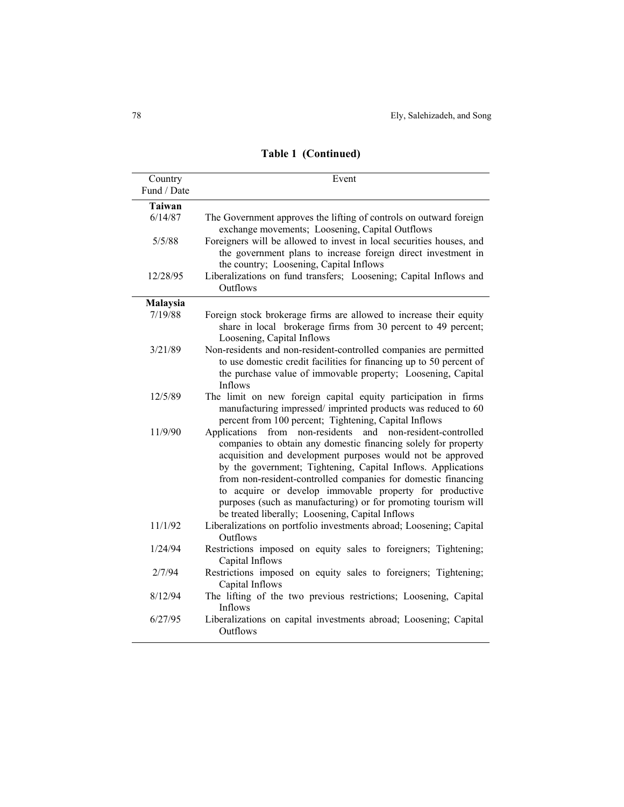| Country       | Event                                                                                                                                    |  |  |
|---------------|------------------------------------------------------------------------------------------------------------------------------------------|--|--|
| Fund / Date   |                                                                                                                                          |  |  |
| <b>Taiwan</b> |                                                                                                                                          |  |  |
| 6/14/87       | The Government approves the lifting of controls on outward foreign                                                                       |  |  |
|               | exchange movements; Loosening, Capital Outflows                                                                                          |  |  |
| 5/5/88        | Foreigners will be allowed to invest in local securities houses, and                                                                     |  |  |
|               | the government plans to increase foreign direct investment in                                                                            |  |  |
|               | the country; Loosening, Capital Inflows                                                                                                  |  |  |
| 12/28/95      | Liberalizations on fund transfers; Loosening; Capital Inflows and                                                                        |  |  |
|               | Outflows                                                                                                                                 |  |  |
| Malaysia      |                                                                                                                                          |  |  |
| 7/19/88       | Foreign stock brokerage firms are allowed to increase their equity                                                                       |  |  |
|               | share in local brokerage firms from 30 percent to 49 percent;                                                                            |  |  |
|               | Loosening, Capital Inflows                                                                                                               |  |  |
| 3/21/89       | Non-residents and non-resident-controlled companies are permitted<br>to use domestic credit facilities for financing up to 50 percent of |  |  |
|               | the purchase value of immovable property; Loosening, Capital                                                                             |  |  |
|               | Inflows                                                                                                                                  |  |  |
| 12/5/89       | The limit on new foreign capital equity participation in firms                                                                           |  |  |
|               | manufacturing impressed/imprinted products was reduced to 60                                                                             |  |  |
|               | percent from 100 percent; Tightening, Capital Inflows                                                                                    |  |  |
| 11/9/90       | non-residents<br>and<br>non-resident-controlled<br>Applications<br>from                                                                  |  |  |
|               | companies to obtain any domestic financing solely for property                                                                           |  |  |
|               | acquisition and development purposes would not be approved<br>by the government; Tightening, Capital Inflows. Applications               |  |  |
|               | from non-resident-controlled companies for domestic financing                                                                            |  |  |
|               | to acquire or develop immovable property for productive                                                                                  |  |  |
|               | purposes (such as manufacturing) or for promoting tourism will                                                                           |  |  |
|               | be treated liberally; Loosening, Capital Inflows                                                                                         |  |  |
| 11/1/92       | Liberalizations on portfolio investments abroad; Loosening; Capital                                                                      |  |  |
|               | Outflows                                                                                                                                 |  |  |
| 1/24/94       | Restrictions imposed on equity sales to foreigners; Tightening;                                                                          |  |  |
| 2/7/94        | Capital Inflows<br>Restrictions imposed on equity sales to foreigners; Tightening;                                                       |  |  |
|               | Capital Inflows                                                                                                                          |  |  |
| 8/12/94       | The lifting of the two previous restrictions; Loosening, Capital                                                                         |  |  |
|               | Inflows                                                                                                                                  |  |  |
| 6/27/95       | Liberalizations on capital investments abroad; Loosening; Capital                                                                        |  |  |
|               | Outflows                                                                                                                                 |  |  |

**Table 1 (Continued)**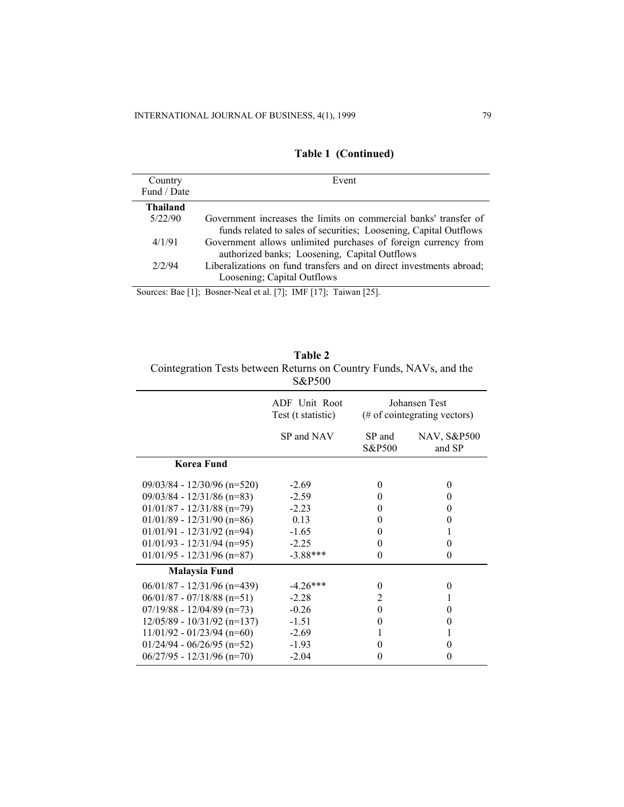| Country<br>Fund / Date | Event                                                                                                                                 |
|------------------------|---------------------------------------------------------------------------------------------------------------------------------------|
| Thailand               |                                                                                                                                       |
| 5/22/90                | Government increases the limits on commercial banks' transfer of<br>funds related to sales of securities; Loosening, Capital Outflows |
| 4/1/91                 | Government allows unlimited purchases of foreign currency from<br>authorized banks; Loosening, Capital Outflows                       |
| 2/2/94                 | Liberalizations on fund transfers and on direct investments abroad;<br>Loosening; Capital Outflows                                    |

## **Table 1 (Continued)**

Sources: Bae [1]; Bosner-Neal et al. [7]; IMF [17]; Taiwan [25].

| Cointegration Tests between Returns on Country Funds, NAVs, and the<br>S&P500 |                                     |                                               |                       |  |
|-------------------------------------------------------------------------------|-------------------------------------|-----------------------------------------------|-----------------------|--|
|                                                                               | ADF Unit Root<br>Test (t statistic) | Johansen Test<br>(# of cointegrating vectors) |                       |  |
|                                                                               | SP and NAV                          | SP and<br>S&P500                              | NAV, S&P500<br>and SP |  |
| <b>Korea Fund</b>                                                             |                                     |                                               |                       |  |
| $09/03/84 - 12/30/96$ (n=520)                                                 | $-2.69$                             | 0                                             | $\theta$              |  |
| $09/03/84 - 12/31/86$ (n=83)                                                  | $-2.59$                             | 0                                             | $\theta$              |  |
| $01/01/87 - 12/31/88$ (n=79)                                                  | $-2.23$                             | 0                                             | 0                     |  |
| $01/01/89 - 12/31/90$ (n=86)                                                  | 0.13                                | 0                                             | 0                     |  |
| $01/01/91 - 12/31/92$ (n=94)                                                  | $-1.65$                             | 0                                             | 1                     |  |
| $01/01/93 - 12/31/94$ (n=95)                                                  | $-2.25$                             | 0                                             | $\theta$              |  |
| $01/01/95 - 12/31/96$ (n=87)                                                  | $-3.88***$                          | $\theta$                                      | $\theta$              |  |
| <b>Malaysia Fund</b>                                                          |                                     |                                               |                       |  |
| $06/01/87 - 12/31/96$ (n=439)                                                 | $-4.26***$                          | $\theta$                                      | $\theta$              |  |
| $06/01/87 - 07/18/88$ (n=51)                                                  | $-2.28$                             | 2                                             | 1                     |  |
| $07/19/88 - 12/04/89$ (n=73)                                                  | $-0.26$                             | $\theta$                                      | $\theta$              |  |
| $12/05/89 - 10/31/92$ (n=137)                                                 | $-1.51$                             | $\theta$                                      | $\theta$              |  |
| $11/01/92 - 01/23/94$ (n=60)                                                  | $-2.69$                             | 1                                             | 1                     |  |
| $01/24/94 - 06/26/95$ (n=52)                                                  | $-1.93$                             | 0                                             | 0                     |  |
| $06/27/95 - 12/31/96$ (n=70)                                                  | $-2.04$                             | 0                                             | 0                     |  |

**Table 2**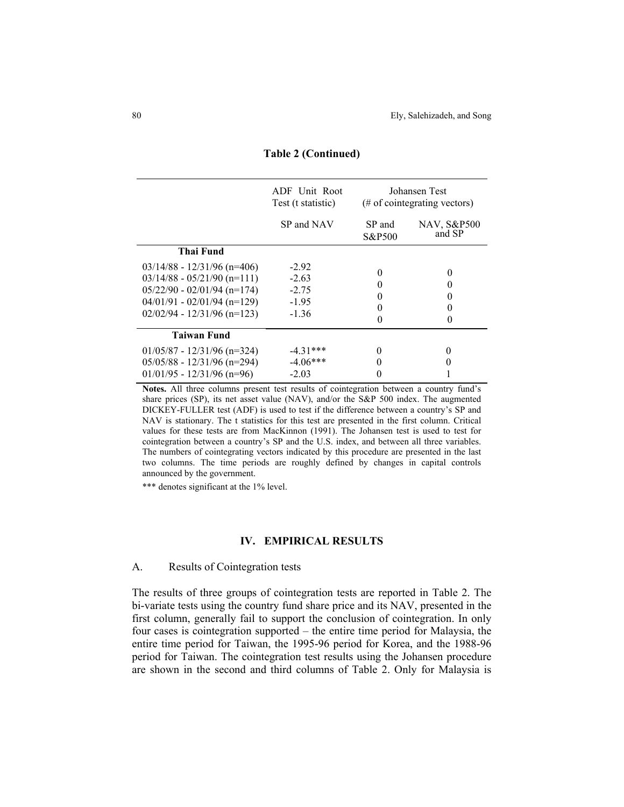|                                                                                                                                                                   | ADF Unit Root<br>Test (t statistic)                 | Johansen Test<br>(# of cointegrating vectors) |                       |
|-------------------------------------------------------------------------------------------------------------------------------------------------------------------|-----------------------------------------------------|-----------------------------------------------|-----------------------|
|                                                                                                                                                                   | SP and NAV                                          | SP and<br>S&P500                              | NAV, S&P500<br>and SP |
| Thai Fund                                                                                                                                                         |                                                     |                                               |                       |
| $03/14/88 - 12/31/96$ (n=406)<br>$03/14/88 - 05/21/90$ (n=111)<br>$05/22/90 - 02/01/94$ (n=174)<br>$04/01/91 - 02/01/94$ (n=129)<br>$02/02/94 - 12/31/96$ (n=123) | $-2.92$<br>$-2.63$<br>$-2.75$<br>$-1.95$<br>$-1.36$ | $\theta$                                      | 0<br>0                |
| <b>Taiwan Fund</b>                                                                                                                                                |                                                     |                                               |                       |
| $01/05/87 - 12/31/96$ (n=324)<br>$05/05/88 - 12/31/96$ (n=294)                                                                                                    | $-4.31***$<br>$-4.06***$                            | 0                                             | 0                     |
| $01/01/95 - 12/31/96$ (n=96)                                                                                                                                      | $-2.03$                                             | 0                                             |                       |

#### **Table 2 (Continued)**

**Notes.** All three columns present test results of cointegration between a country fund's share prices (SP), its net asset value (NAV), and/or the S&P 500 index. The augmented DICKEY-FULLER test (ADF) is used to test if the difference between a country's SP and NAV is stationary. The t statistics for this test are presented in the first column. Critical values for these tests are from MacKinnon (1991). The Johansen test is used to test for cointegration between a country's SP and the U.S. index, and between all three variables. The numbers of cointegrating vectors indicated by this procedure are presented in the last two columns. The time periods are roughly defined by changes in capital controls announced by the government.

\*\*\* denotes significant at the 1% level.

#### **IV. EMPIRICAL RESULTS**

#### A. Results of Cointegration tests

The results of three groups of cointegration tests are reported in Table 2. The bi-variate tests using the country fund share price and its NAV, presented in the first column, generally fail to support the conclusion of cointegration. In only four cases is cointegration supported – the entire time period for Malaysia, the entire time period for Taiwan, the 1995-96 period for Korea, and the 1988-96 period for Taiwan. The cointegration test results using the Johansen procedure are shown in the second and third columns of Table 2. Only for Malaysia is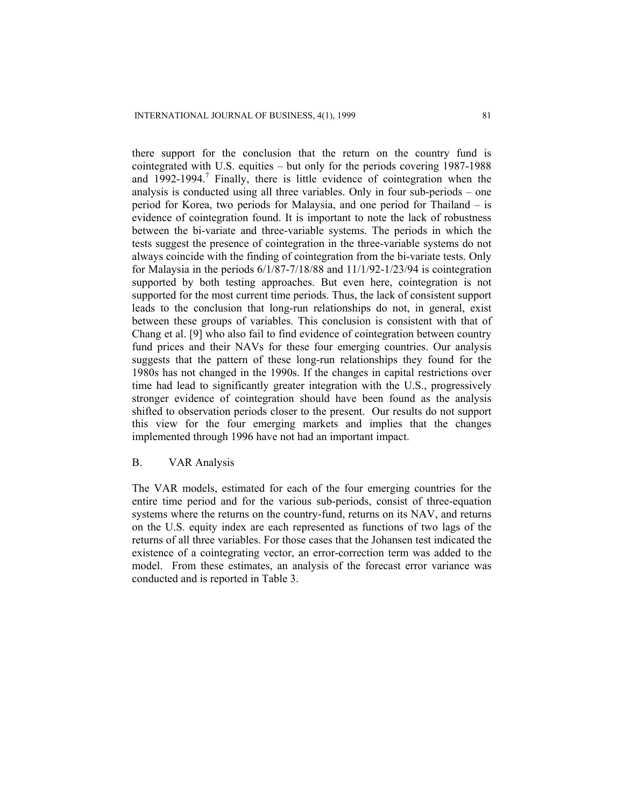there support for the conclusion that the return on the country fund is cointegrated with U.S. equities – but only for the periods covering 1987-1988 and  $1992-1994$ .<sup>7</sup> Finally, there is little evidence of cointegration when the analysis is conducted using all three variables. Only in four sub-periods – one period for Korea, two periods for Malaysia, and one period for Thailand – is evidence of cointegration found. It is important to note the lack of robustness between the bi-variate and three-variable systems. The periods in which the tests suggest the presence of cointegration in the three-variable systems do not always coincide with the finding of cointegration from the bi-variate tests. Only for Malaysia in the periods 6/1/87-7/18/88 and 11/1/92-1/23/94 is cointegration supported by both testing approaches. But even here, cointegration is not supported for the most current time periods. Thus, the lack of consistent support leads to the conclusion that long-run relationships do not, in general, exist between these groups of variables. This conclusion is consistent with that of Chang et al. [9] who also fail to find evidence of cointegration between country fund prices and their NAVs for these four emerging countries. Our analysis suggests that the pattern of these long-run relationships they found for the 1980s has not changed in the 1990s. If the changes in capital restrictions over time had lead to significantly greater integration with the U.S., progressively stronger evidence of cointegration should have been found as the analysis shifted to observation periods closer to the present. Our results do not support this view for the four emerging markets and implies that the changes implemented through 1996 have not had an important impact.

#### B. VAR Analysis

The VAR models, estimated for each of the four emerging countries for the entire time period and for the various sub-periods, consist of three-equation systems where the returns on the country-fund, returns on its NAV, and returns on the U.S. equity index are each represented as functions of two lags of the returns of all three variables. For those cases that the Johansen test indicated the existence of a cointegrating vector, an error-correction term was added to the model. From these estimates, an analysis of the forecast error variance was conducted and is reported in Table 3.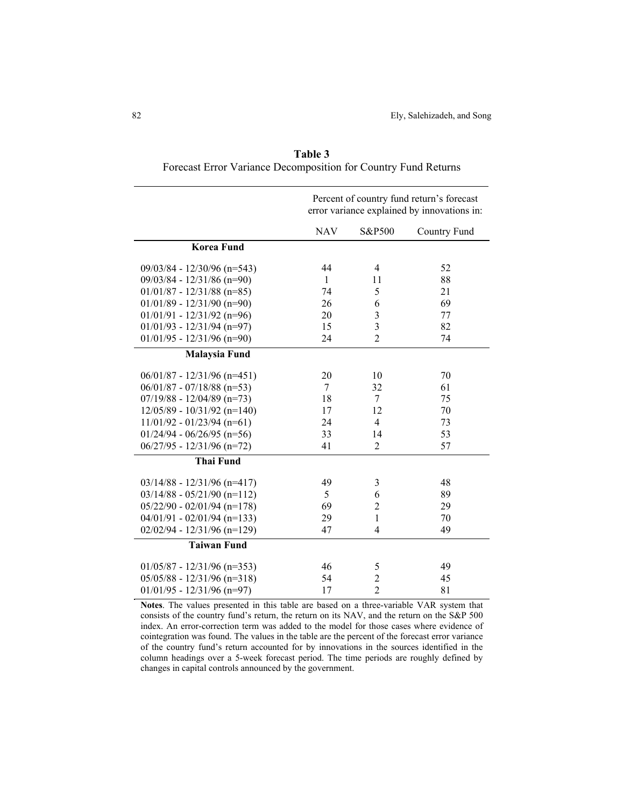|                               | Percent of country fund return's forecast<br>error variance explained by innovations in: |                         |              |
|-------------------------------|------------------------------------------------------------------------------------------|-------------------------|--------------|
|                               | <b>NAV</b>                                                                               | S&P500                  | Country Fund |
| <b>Korea Fund</b>             |                                                                                          |                         |              |
| $09/03/84 - 12/30/96$ (n=543) | 44                                                                                       | 4                       | 52           |
| $09/03/84 - 12/31/86$ (n=90)  | $\mathbf{1}$                                                                             | 11                      | 88           |
| $01/01/87 - 12/31/88$ (n=85)  | 74                                                                                       | 5                       | 21           |
| $01/01/89 - 12/31/90 (n=90)$  | 26                                                                                       | 6                       | 69           |
| $01/01/91 - 12/31/92$ (n=96)  | 20                                                                                       | $\overline{\mathbf{3}}$ | 77           |
| $01/01/93 - 12/31/94$ (n=97)  | 15                                                                                       | $\overline{\mathbf{3}}$ | 82           |
| $01/01/95 - 12/31/96$ (n=90)  | 24                                                                                       | $\overline{2}$          | 74           |
| <b>Malaysia Fund</b>          |                                                                                          |                         |              |
| $06/01/87 - 12/31/96$ (n=451) | 20                                                                                       | 10                      | 70           |
| $06/01/87 - 07/18/88$ (n=53)  | 7                                                                                        | 32                      | 61           |
| $07/19/88 - 12/04/89$ (n=73)  | 18                                                                                       | 7                       | 75           |
| $12/05/89 - 10/31/92$ (n=140) | 17                                                                                       | 12                      | 70           |
| $11/01/92 - 01/23/94$ (n=61)  | 24                                                                                       | $\overline{4}$          | 73           |
| $01/24/94 - 06/26/95$ (n=56)  | 33                                                                                       | 14                      | 53           |
| $06/27/95 - 12/31/96$ (n=72)  | 41                                                                                       | $\overline{2}$          | 57           |
| <b>Thai Fund</b>              |                                                                                          |                         |              |
| $03/14/88 - 12/31/96$ (n=417) | 49                                                                                       | 3                       | 48           |
| $03/14/88 - 05/21/90$ (n=112) | 5                                                                                        | 6                       | 89           |
| $05/22/90 - 02/01/94$ (n=178) | 69                                                                                       | $\overline{2}$          | 29           |
| $04/01/91 - 02/01/94$ (n=133) | 29                                                                                       | 1                       | 70           |
| $02/02/94 - 12/31/96$ (n=129) | 47                                                                                       | $\overline{4}$          | 49           |
| <b>Taiwan Fund</b>            |                                                                                          |                         |              |
| $01/05/87 - 12/31/96$ (n=353) | 46                                                                                       | 5                       | 49           |
| $05/05/88 - 12/31/96$ (n=318) | 54                                                                                       | $\overline{c}$          | 45           |
| $01/01/95 - 12/31/96$ (n=97)  | 17                                                                                       | $\overline{2}$          | 81           |

**Table 3**  Forecast Error Variance Decomposition for Country Fund Returns

**Notes**. The values presented in this table are based on a three-variable VAR system that consists of the country fund's return, the return on its NAV, and the return on the S&P 500 index. An error-correction term was added to the model for those cases where evidence of cointegration was found. The values in the table are the percent of the forecast error variance of the country fund's return accounted for by innovations in the sources identified in the column headings over a 5-week forecast period. The time periods are roughly defined by changes in capital controls announced by the government.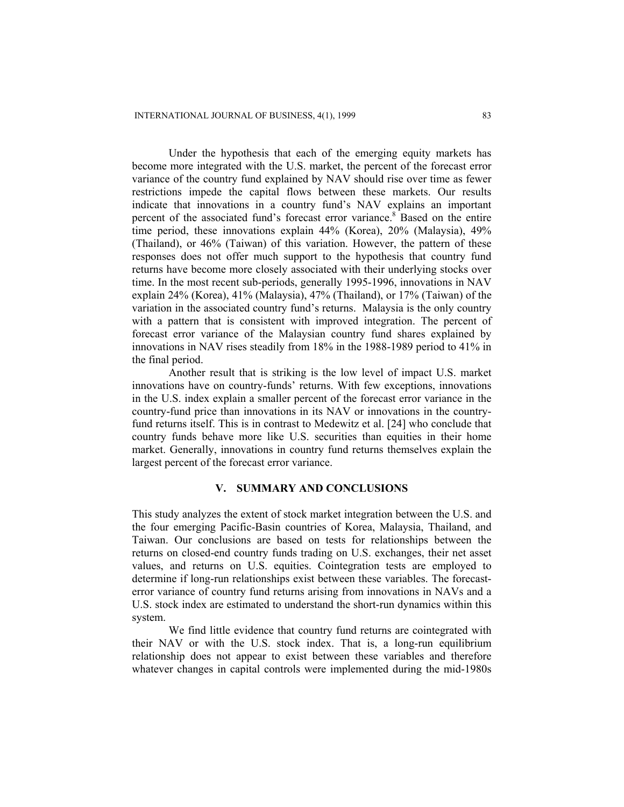Under the hypothesis that each of the emerging equity markets has become more integrated with the U.S. market, the percent of the forecast error variance of the country fund explained by NAV should rise over time as fewer restrictions impede the capital flows between these markets. Our results indicate that innovations in a country fund's NAV explains an important percent of the associated fund's forecast error variance.<sup>8</sup> Based on the entire time period, these innovations explain 44% (Korea), 20% (Malaysia), 49% (Thailand), or 46% (Taiwan) of this variation. However, the pattern of these responses does not offer much support to the hypothesis that country fund returns have become more closely associated with their underlying stocks over time. In the most recent sub-periods, generally 1995-1996, innovations in NAV explain 24% (Korea), 41% (Malaysia), 47% (Thailand), or 17% (Taiwan) of the variation in the associated country fund's returns. Malaysia is the only country with a pattern that is consistent with improved integration. The percent of forecast error variance of the Malaysian country fund shares explained by innovations in NAV rises steadily from 18% in the 1988-1989 period to 41% in the final period.

Another result that is striking is the low level of impact U.S. market innovations have on country-funds' returns. With few exceptions, innovations in the U.S. index explain a smaller percent of the forecast error variance in the country-fund price than innovations in its NAV or innovations in the countryfund returns itself. This is in contrast to Medewitz et al. [24] who conclude that country funds behave more like U.S. securities than equities in their home market. Generally, innovations in country fund returns themselves explain the largest percent of the forecast error variance.

#### **V. SUMMARY AND CONCLUSIONS**

This study analyzes the extent of stock market integration between the U.S. and the four emerging Pacific-Basin countries of Korea, Malaysia, Thailand, and Taiwan. Our conclusions are based on tests for relationships between the returns on closed-end country funds trading on U.S. exchanges, their net asset values, and returns on U.S. equities. Cointegration tests are employed to determine if long-run relationships exist between these variables. The forecasterror variance of country fund returns arising from innovations in NAVs and a U.S. stock index are estimated to understand the short-run dynamics within this system.

We find little evidence that country fund returns are cointegrated with their NAV or with the U.S. stock index. That is, a long-run equilibrium relationship does not appear to exist between these variables and therefore whatever changes in capital controls were implemented during the mid-1980s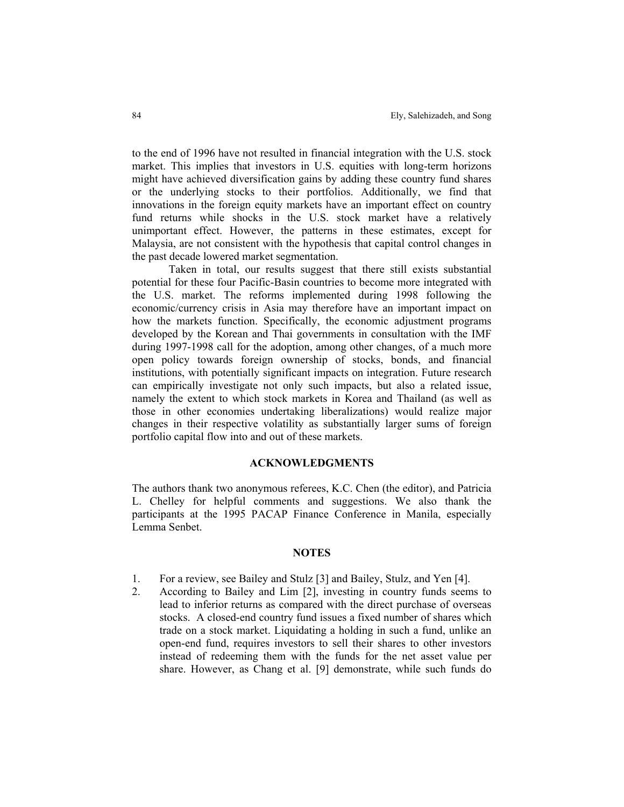to the end of 1996 have not resulted in financial integration with the U.S. stock market. This implies that investors in U.S. equities with long-term horizons might have achieved diversification gains by adding these country fund shares or the underlying stocks to their portfolios. Additionally, we find that innovations in the foreign equity markets have an important effect on country fund returns while shocks in the U.S. stock market have a relatively unimportant effect. However, the patterns in these estimates, except for Malaysia, are not consistent with the hypothesis that capital control changes in the past decade lowered market segmentation.

Taken in total, our results suggest that there still exists substantial potential for these four Pacific-Basin countries to become more integrated with the U.S. market. The reforms implemented during 1998 following the economic/currency crisis in Asia may therefore have an important impact on how the markets function. Specifically, the economic adjustment programs developed by the Korean and Thai governments in consultation with the IMF during 1997-1998 call for the adoption, among other changes, of a much more open policy towards foreign ownership of stocks, bonds, and financial institutions, with potentially significant impacts on integration. Future research can empirically investigate not only such impacts, but also a related issue, namely the extent to which stock markets in Korea and Thailand (as well as those in other economies undertaking liberalizations) would realize major changes in their respective volatility as substantially larger sums of foreign portfolio capital flow into and out of these markets.

#### **ACKNOWLEDGMENTS**

The authors thank two anonymous referees, K.C. Chen (the editor), and Patricia L. Chelley for helpful comments and suggestions. We also thank the participants at the 1995 PACAP Finance Conference in Manila, especially Lemma Senbet.

#### **NOTES**

- 1. For a review, see Bailey and Stulz [3] and Bailey, Stulz, and Yen [4].
- 2. According to Bailey and Lim [2], investing in country funds seems to lead to inferior returns as compared with the direct purchase of overseas stocks. A closed-end country fund issues a fixed number of shares which trade on a stock market. Liquidating a holding in such a fund, unlike an open-end fund, requires investors to sell their shares to other investors instead of redeeming them with the funds for the net asset value per share. However, as Chang et al. [9] demonstrate, while such funds do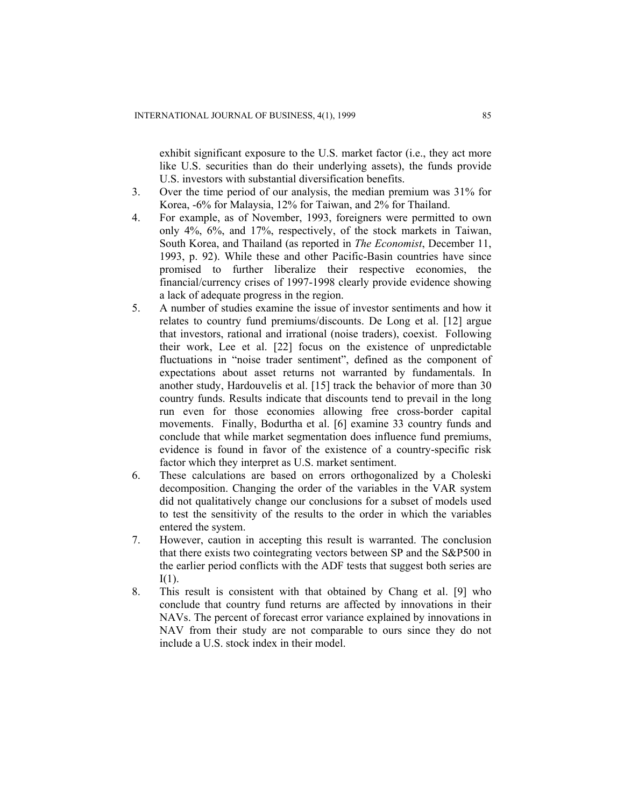exhibit significant exposure to the U.S. market factor (i.e., they act more like U.S. securities than do their underlying assets), the funds provide U.S. investors with substantial diversification benefits.

- 3. Over the time period of our analysis, the median premium was 31% for Korea, -6% for Malaysia, 12% for Taiwan, and 2% for Thailand.
- 4. For example, as of November, 1993, foreigners were permitted to own only 4%, 6%, and 17%, respectively, of the stock markets in Taiwan, South Korea, and Thailand (as reported in *The Economist*, December 11, 1993, p. 92). While these and other Pacific-Basin countries have since promised to further liberalize their respective economies, the financial/currency crises of 1997-1998 clearly provide evidence showing a lack of adequate progress in the region.
- 5. A number of studies examine the issue of investor sentiments and how it relates to country fund premiums/discounts. De Long et al. [12] argue that investors, rational and irrational (noise traders), coexist. Following their work, Lee et al. [22] focus on the existence of unpredictable fluctuations in "noise trader sentiment", defined as the component of expectations about asset returns not warranted by fundamentals. In another study, Hardouvelis et al. [15] track the behavior of more than 30 country funds. Results indicate that discounts tend to prevail in the long run even for those economies allowing free cross-border capital movements. Finally, Bodurtha et al. [6] examine 33 country funds and conclude that while market segmentation does influence fund premiums, evidence is found in favor of the existence of a country-specific risk factor which they interpret as U.S. market sentiment.
- 6. These calculations are based on errors orthogonalized by a Choleski decomposition. Changing the order of the variables in the VAR system did not qualitatively change our conclusions for a subset of models used to test the sensitivity of the results to the order in which the variables entered the system.
- 7. However, caution in accepting this result is warranted. The conclusion that there exists two cointegrating vectors between SP and the S&P500 in the earlier period conflicts with the ADF tests that suggest both series are  $I(1)$ .
- 8. This result is consistent with that obtained by Chang et al. [9] who conclude that country fund returns are affected by innovations in their NAVs. The percent of forecast error variance explained by innovations in NAV from their study are not comparable to ours since they do not include a U.S. stock index in their model.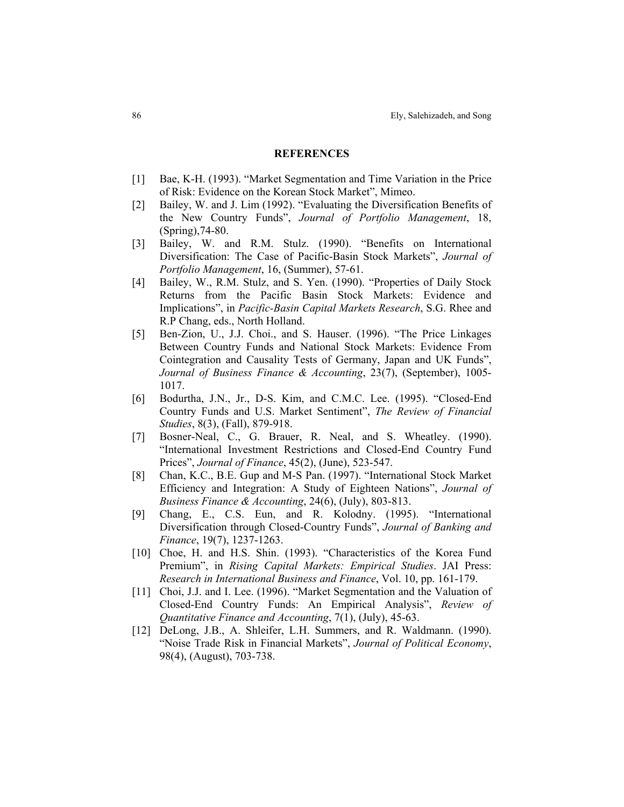#### **REFERENCES**

- [1] Bae, K-H. (1993). "Market Segmentation and Time Variation in the Price of Risk: Evidence on the Korean Stock Market", Mimeo.
- [2] Bailey, W. and J. Lim (1992). "Evaluating the Diversification Benefits of the New Country Funds", *Journal of Portfolio Management*, 18, (Spring),74-80.
- [3] Bailey, W. and R.M. Stulz. (1990). "Benefits on International Diversification: The Case of Pacific-Basin Stock Markets", *Journal of Portfolio Management*, 16, (Summer), 57-61.
- [4] Bailey, W., R.M. Stulz, and S. Yen. (1990). "Properties of Daily Stock Returns from the Pacific Basin Stock Markets: Evidence and Implications", in *Pacific-Basin Capital Markets Research*, S.G. Rhee and R.P Chang, eds., North Holland.
- [5] Ben-Zion, U., J.J. Choi., and S. Hauser. (1996). "The Price Linkages Between Country Funds and National Stock Markets: Evidence From Cointegration and Causality Tests of Germany, Japan and UK Funds", *Journal of Business Finance & Accounting*, 23(7), (September), 1005- 1017.
- [6] Bodurtha, J.N., Jr., D-S. Kim, and C.M.C. Lee. (1995). "Closed-End Country Funds and U.S. Market Sentiment", *The Review of Financial Studies*, 8(3), (Fall), 879-918.
- [7] Bosner-Neal, C., G. Brauer, R. Neal, and S. Wheatley. (1990). "International Investment Restrictions and Closed-End Country Fund Prices", *Journal of Finance*, 45(2), (June), 523-547.
- [8] Chan, K.C., B.E. Gup and M-S Pan. (1997). "International Stock Market Efficiency and Integration: A Study of Eighteen Nations", *Journal of Business Finance & Accounting*, 24(6), (July), 803-813.
- [9] Chang, E., C.S. Eun, and R. Kolodny. (1995). "International Diversification through Closed-Country Funds", *Journal of Banking and Finance*, 19(7), 1237-1263.
- [10] Choe, H. and H.S. Shin. (1993). "Characteristics of the Korea Fund Premium", in *Rising Capital Markets: Empirical Studies*. JAI Press: *Research in International Business and Finance*, Vol. 10, pp. 161-179.
- [11] Choi, J.J. and I. Lee. (1996). "Market Segmentation and the Valuation of Closed-End Country Funds: An Empirical Analysis", *Review of Quantitative Finance and Accounting*, 7(1), (July), 45-63.
- [12] DeLong, J.B., A. Shleifer, L.H. Summers, and R. Waldmann. (1990). "Noise Trade Risk in Financial Markets", *Journal of Political Economy*, 98(4), (August), 703-738.